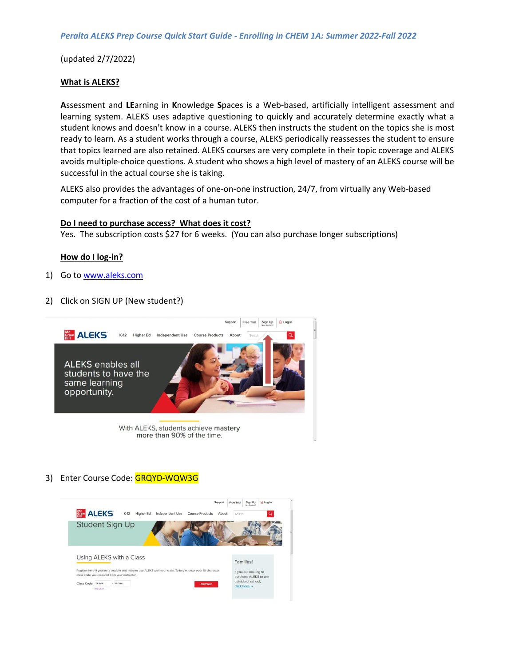(updated 2/7/2022)

### **What is ALEKS?**

**A**ssessment and **LE**arning in **K**nowledge **S**paces is a Web-based, artificially intelligent assessment and learning system. ALEKS uses adaptive questioning to quickly and accurately determine exactly what a student knows and doesn't know in a course. ALEKS then instructs the student on the topics she is most ready to learn. As a student works through a course, ALEKS periodically reassesses the student to ensure that topics learned are also retained. ALEKS courses are very complete in their topic coverage and ALEKS avoids multiple-choice questions. A student who shows a high level of mastery of an ALEKS course will be successful in the actual course she is taking.

ALEKS also provides the advantages of one-on-one instruction, 24/7, from virtually any Web-based computer for a fraction of the cost of a human tutor.

### **Do I need to purchase access? What does it cost?**

Yes. The subscription costs \$27 for 6 weeks. (You can also purchase longer subscriptions)

#### **How do I log-in?**

- 1) Go to [www.aleks.com](http://www.aleks.com/)
- 2) Click on SIGN UP (New student?)



3) Enter Course Code: GRQYD-WQW3G

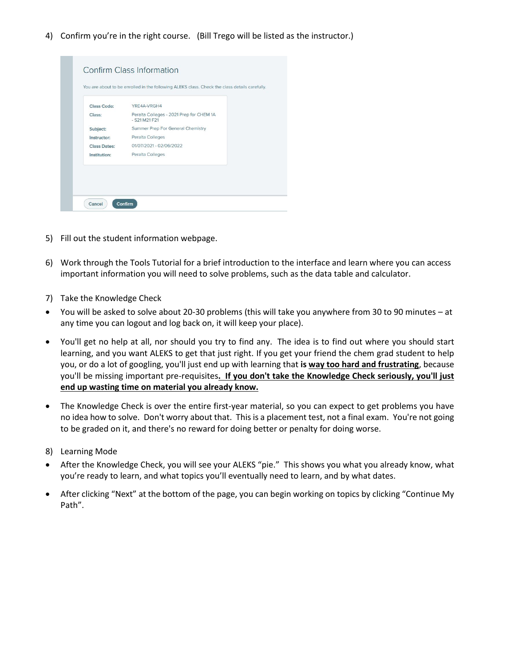4) Confirm you're in the right course. (Bill Trego will be listed as the instructor.)

| Class Code:         | YRE4A-VRGH4                                                 |  |
|---------------------|-------------------------------------------------------------|--|
| Class:              | Peralta Colleges - 2021 Prep for CHEM 1A<br>$-$ S21 M21 F21 |  |
| Subject:            | Summer Prep For General Chemistry                           |  |
| Instructor:         | Peralta Colleges                                            |  |
| <b>Class Dates:</b> | 01/07/2021 - 02/06/2022                                     |  |
| Institution:        | Peralta Colleges                                            |  |

- 5) Fill out the student information webpage.
- 6) Work through the Tools Tutorial for a brief introduction to the interface and learn where you can access important information you will need to solve problems, such as the data table and calculator.
- 7) Take the Knowledge Check
- You will be asked to solve about 20-30 problems (this will take you anywhere from 30 to 90 minutes at any time you can logout and log back on, it will keep your place).
- You'll get no help at all, nor should you try to find any. The idea is to find out where you should start learning, and you want ALEKS to get that just right. If you get your friend the chem grad student to help you, or do a lot of googling, you'll just end up with learning that **is way too hard and frustrating**, because you'll be missing important pre-requisites**. If you don't take the Knowledge Check seriously, you'll just end up wasting time on material you already know.**
- The Knowledge Check is over the entire first-year material, so you can expect to get problems you have no idea how to solve. Don't worry about that. This is a placement test, not a final exam. You're not going to be graded on it, and there's no reward for doing better or penalty for doing worse.
- 8) Learning Mode
- After the Knowledge Check, you will see your ALEKS "pie." This shows you what you already know, what you're ready to learn, and what topics you'll eventually need to learn, and by what dates.
- After clicking "Next" at the bottom of the page, you can begin working on topics by clicking "Continue My Path".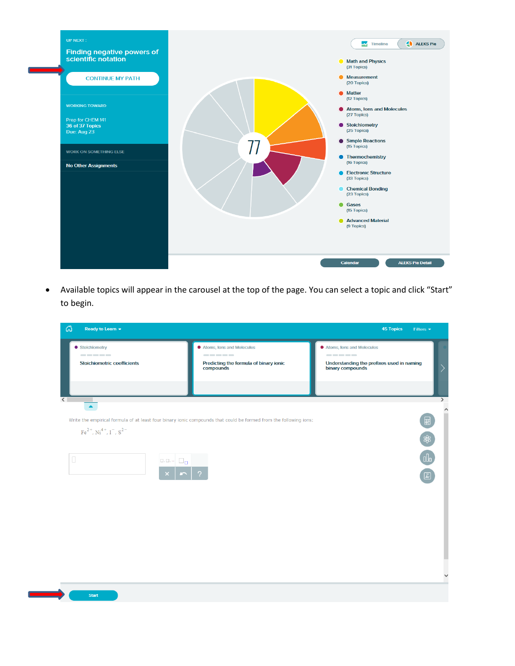

 Available topics will appear in the carousel at the top of the page. You can select a topic and click "Start" to begin.

| ය<br>Ready to Learn $\blacktriangleright$                                                                   |                                                                                                                                                                                                                                                                                                                                                                                                                                                                                                                                                                              | <b>45 Topics</b><br>Filters $\blacktriangledown$                                                                                      |
|-------------------------------------------------------------------------------------------------------------|------------------------------------------------------------------------------------------------------------------------------------------------------------------------------------------------------------------------------------------------------------------------------------------------------------------------------------------------------------------------------------------------------------------------------------------------------------------------------------------------------------------------------------------------------------------------------|---------------------------------------------------------------------------------------------------------------------------------------|
| ● Stoichiometry<br><b>Stoichiometric coefficients</b>                                                       | ● Atoms, Ions and Molecules<br>$\begin{array}{cccccccccccccc} \multicolumn{2}{c}{} & \multicolumn{2}{c}{} & \multicolumn{2}{c}{} & \multicolumn{2}{c}{} & \multicolumn{2}{c}{} & \multicolumn{2}{c}{} & \multicolumn{2}{c}{} & \multicolumn{2}{c}{} & \multicolumn{2}{c}{} & \multicolumn{2}{c}{} & \multicolumn{2}{c}{} & \multicolumn{2}{c}{} & \multicolumn{2}{c}{} & \multicolumn{2}{c}{} & \multicolumn{2}{c}{} & \multicolumn{2}{c}{} & \multicolumn{2}{c}{} & \multicolumn{2}{c}{} & \multicolumn{2}{c}{} & \$<br>Predicting the formula of binary ionic<br>compounds | ● Atoms, Ions and Molecules<br>-----<br>Understanding the prefixes used in naming<br>$\left\langle \right\rangle$<br>binary compounds |
| $\overline{\left($ $\right.$<br>$\blacktriangle$<br>$Fe2+, Ni4+, I-, S2-$<br>$\Box$<br>$\Box, \Box, \cdots$ | Write the empirical formula of at least four binary ionic compounds that could be formed from the following ions:<br>$\Box_{\Box}$                                                                                                                                                                                                                                                                                                                                                                                                                                           | ⋝<br>$\hat{}$<br>$\blacksquare$<br>\$<br>$\sqrt{\mathbf{A}^*}$<br>$\checkmark$                                                        |